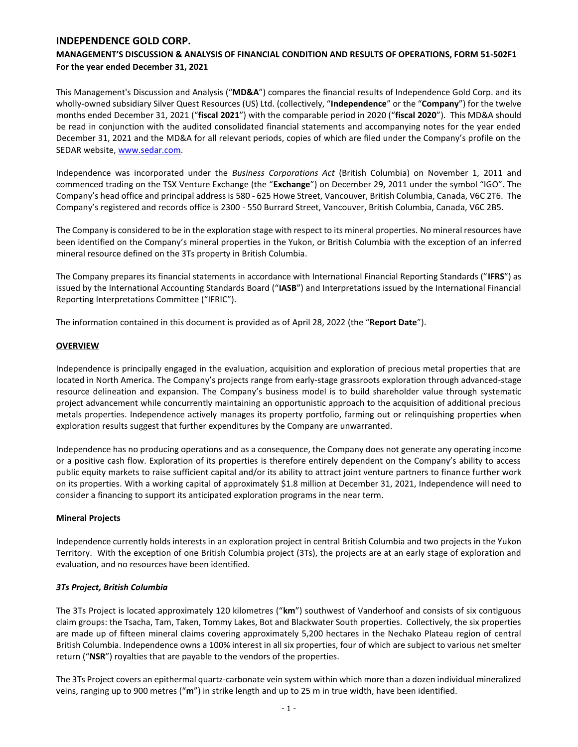# **MANAGEMENT'S DISCUSSION & ANALYSIS OF FINANCIAL CONDITION AND RESULTS OF OPERATIONS, FORM 51-502F1 For the year ended December 31, 2021**

This Management's Discussion and Analysis ("**MD&A**") compares the financial results of Independence Gold Corp. and its wholly-owned subsidiary Silver Quest Resources (US) Ltd. (collectively, "**Independence**" or the "**Company**") for the twelve months ended December 31, 2021 ("**fiscal 2021**") with the comparable period in 2020 ("**fiscal 2020**"). This MD&A should be read in conjunction with the audited consolidated financial statements and accompanying notes for the year ended December 31, 2021 and the MD&A for all relevant periods, copies of which are filed under the Company's profile on the SEDAR website, [www.sedar.com.](http://www.sedar.com/)

Independence was incorporated under the *Business Corporations Act* (British Columbia) on November 1, 2011 and commenced trading on the TSX Venture Exchange (the "**Exchange**") on December 29, 2011 under the symbol "IGO". The Company's head office and principal address is 580 - 625 Howe Street, Vancouver, British Columbia, Canada, V6C 2T6. The Company's registered and records office is 2300 - 550 Burrard Street, Vancouver, British Columbia, Canada, V6C 2B5.

The Company is considered to be in the exploration stage with respect to its mineral properties. No mineral resources have been identified on the Company's mineral properties in the Yukon, or British Columbia with the exception of an inferred mineral resource defined on the 3Ts property in British Columbia.

The Company prepares its financial statements in accordance with International Financial Reporting Standards ("**IFRS**") as issued by the International Accounting Standards Board ("**IASB**") and Interpretations issued by the International Financial Reporting Interpretations Committee ("IFRIC").

The information contained in this document is provided as of April 28, 2022 (the "**Report Date**").

## **OVERVIEW**

Independence is principally engaged in the evaluation, acquisition and exploration of precious metal properties that are located in North America. The Company's projects range from early-stage grassroots exploration through advanced-stage resource delineation and expansion. The Company's business model is to build shareholder value through systematic project advancement while concurrently maintaining an opportunistic approach to the acquisition of additional precious metals properties. Independence actively manages its property portfolio, farming out or relinquishing properties when exploration results suggest that further expenditures by the Company are unwarranted.

Independence has no producing operations and as a consequence, the Company does not generate any operating income or a positive cash flow. Exploration of its properties is therefore entirely dependent on the Company's ability to access public equity markets to raise sufficient capital and/or its ability to attract joint venture partners to finance further work on its properties. With a working capital of approximately \$1.8 million at December 31, 2021, Independence will need to consider a financing to support its anticipated exploration programs in the near term.

## **Mineral Projects**

Independence currently holds interests in an exploration project in central British Columbia and two projects in the Yukon Territory. With the exception of one British Columbia project (3Ts), the projects are at an early stage of exploration and evaluation, and no resources have been identified.

## *3Ts Project, British Columbia*

The 3Ts Project is located approximately 120 kilometres ("**km**") southwest of Vanderhoof and consists of six contiguous claim groups: the Tsacha, Tam, Taken, Tommy Lakes, Bot and Blackwater South properties. Collectively, the six properties are made up of fifteen mineral claims covering approximately 5,200 hectares in the Nechako Plateau region of central British Columbia. Independence owns a 100% interest in all six properties, four of which are subject to various net smelter return ("**NSR**") royalties that are payable to the vendors of the properties.

The 3Ts Project covers an epithermal quartz-carbonate vein system within which more than a dozen individual mineralized veins, ranging up to 900 metres ("**m**") in strike length and up to 25 m in true width, have been identified.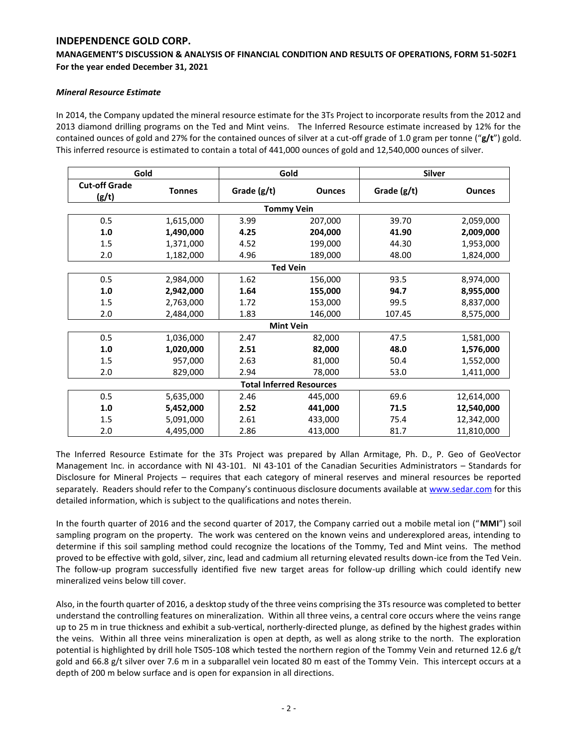## **MANAGEMENT'S DISCUSSION & ANALYSIS OF FINANCIAL CONDITION AND RESULTS OF OPERATIONS, FORM 51-502F1 For the year ended December 31, 2021**

## *Mineral Resource Estimate*

In 2014, the Company updated the mineral resource estimate for the 3Ts Project to incorporate results from the 2012 and 2013 diamond drilling programs on the Ted and Mint veins. The Inferred Resource estimate increased by 12% for the contained ounces of gold and 27% for the contained ounces of silver at a cut-off grade of 1.0 gram per tonne ("**g/t**") gold. This inferred resource is estimated to contain a total of 441,000 ounces of gold and 12,540,000 ounces of silver.

| Gold                          |               | Gold                            |               | <b>Silver</b> |               |
|-------------------------------|---------------|---------------------------------|---------------|---------------|---------------|
| <b>Cut-off Grade</b><br>(g/t) | <b>Tonnes</b> | Grade (g/t)                     | <b>Ounces</b> | Grade (g/t)   | <b>Ounces</b> |
|                               |               | <b>Tommy Vein</b>               |               |               |               |
| 0.5                           | 1,615,000     | 3.99                            | 207,000       | 39.70         | 2,059,000     |
| 1.0                           | 1,490,000     | 4.25                            | 204,000       | 41.90         | 2,009,000     |
| 1.5                           | 1,371,000     | 4.52                            | 199,000       | 44.30         | 1,953,000     |
| 2.0                           | 1,182,000     | 4.96                            | 189,000       | 48.00         | 1,824,000     |
|                               |               | <b>Ted Vein</b>                 |               |               |               |
| 0.5                           | 2,984,000     | 1.62                            | 156,000       | 93.5          | 8,974,000     |
| 1.0                           | 2,942,000     | 1.64                            | 155,000       | 94.7          | 8,955,000     |
| 1.5                           | 2,763,000     | 1.72                            | 153,000       | 99.5          | 8,837,000     |
| 2.0                           | 2,484,000     | 1.83                            | 146,000       | 107.45        | 8,575,000     |
|                               |               | <b>Mint Vein</b>                |               |               |               |
| 0.5                           | 1,036,000     | 2.47                            | 82,000        | 47.5          | 1,581,000     |
| 1.0                           | 1,020,000     | 2.51                            | 82,000        | 48.0          | 1,576,000     |
| 1.5                           | 957,000       | 2.63                            | 81,000        | 50.4          | 1,552,000     |
| 2.0                           | 829,000       | 2.94                            | 78,000        | 53.0          | 1,411,000     |
|                               |               | <b>Total Inferred Resources</b> |               |               |               |
| 0.5                           | 5,635,000     | 2.46                            | 445,000       | 69.6          | 12,614,000    |
| 1.0                           | 5,452,000     | 2.52                            | 441,000       | 71.5          | 12,540,000    |
| 1.5                           | 5,091,000     | 2.61                            | 433,000       | 75.4          | 12,342,000    |
| 2.0                           | 4,495,000     | 2.86                            | 413,000       | 81.7          | 11,810,000    |

The Inferred Resource Estimate for the 3Ts Project was prepared by Allan Armitage, Ph. D., P. Geo of GeoVector Management Inc. in accordance with NI 43-101. NI 43-101 of the Canadian Securities Administrators – Standards for Disclosure for Mineral Projects – requires that each category of mineral reserves and mineral resources be reported separately. Readers should refer to the Company's continuous disclosure documents available at [www.sedar.com](http://www.sedar.com/) for this detailed information, which is subject to the qualifications and notes therein.

In the fourth quarter of 2016 and the second quarter of 2017, the Company carried out a mobile metal ion ("**MMI**") soil sampling program on the property. The work was centered on the known veins and underexplored areas, intending to determine if this soil sampling method could recognize the locations of the Tommy, Ted and Mint veins. The method proved to be effective with gold, silver, zinc, lead and cadmium all returning elevated results down-ice from the Ted Vein. The follow-up program successfully identified five new target areas for follow-up drilling which could identify new mineralized veins below till cover.

Also, in the fourth quarter of 2016, a desktop study of the three veins comprising the 3Ts resource was completed to better understand the controlling features on mineralization. Within all three veins, a central core occurs where the veins range up to 25 m in true thickness and exhibit a sub-vertical, northerly-directed plunge, as defined by the highest grades within the veins. Within all three veins mineralization is open at depth, as well as along strike to the north. The exploration potential is highlighted by drill hole TS05-108 which tested the northern region of the Tommy Vein and returned 12.6 g/t gold and 66.8 g/t silver over 7.6 m in a subparallel vein located 80 m east of the Tommy Vein. This intercept occurs at a depth of 200 m below surface and is open for expansion in all directions.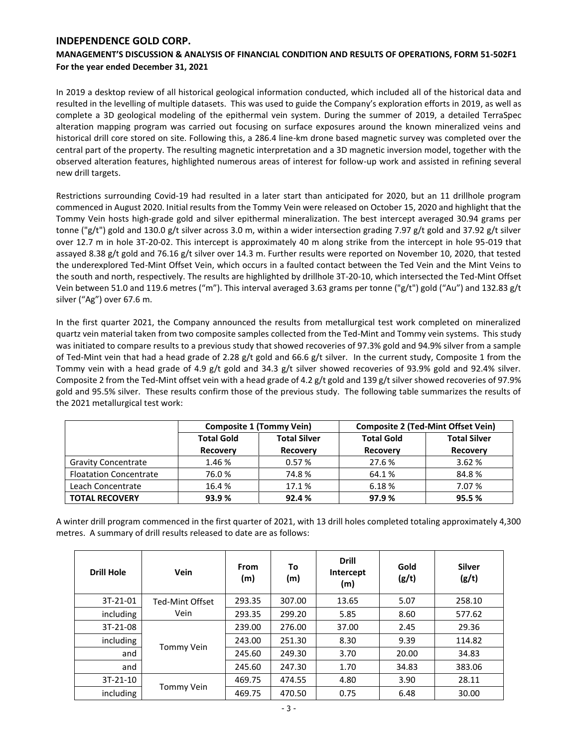# **MANAGEMENT'S DISCUSSION & ANALYSIS OF FINANCIAL CONDITION AND RESULTS OF OPERATIONS, FORM 51-502F1 For the year ended December 31, 2021**

In 2019 a desktop review of all historical geological information conducted, which included all of the historical data and resulted in the levelling of multiple datasets. This was used to guide the Company's exploration efforts in 2019, as well as complete a 3D geological modeling of the epithermal vein system. During the summer of 2019, a detailed TerraSpec alteration mapping program was carried out focusing on surface exposures around the known mineralized veins and historical drill core stored on site. Following this, a 286.4 line-km drone based magnetic survey was completed over the central part of the property. The resulting magnetic interpretation and a 3D magnetic inversion model, together with the observed alteration features, highlighted numerous areas of interest for follow-up work and assisted in refining several new drill targets.

Restrictions surrounding Covid-19 had resulted in a later start than anticipated for 2020, but an 11 drillhole program commenced in August 2020. Initial results from the Tommy Vein were released on October 15, 2020 and highlight that the Tommy Vein hosts high-grade gold and silver epithermal mineralization. The best intercept averaged 30.94 grams per tonne ("g/t") gold and 130.0 g/t silver across 3.0 m, within a wider intersection grading 7.97 g/t gold and 37.92 g/t silver over 12.7 m in hole 3T-20-02. This intercept is approximately 40 m along strike from the intercept in hole 95-019 that assayed 8.38 g/t gold and 76.16 g/t silver over 14.3 m. Further results were reported on November 10, 2020, that tested the underexplored Ted-Mint Offset Vein, which occurs in a faulted contact between the Ted Vein and the Mint Veins to the south and north, respectively. The results are highlighted by drillhole 3T-20-10, which intersected the Ted-Mint Offset Vein between 51.0 and 119.6 metres ("m"). This interval averaged 3.63 grams per tonne ("g/t") gold ("Au") and 132.83 g/t silver ("Ag") over 67.6 m.

In the first quarter 2021, the Company announced the results from metallurgical test work completed on mineralized quartz vein material taken from two composite samples collected from the Ted-Mint and Tommy vein systems. This study was initiated to compare results to a previous study that showed recoveries of 97.3% gold and 94.9% silver from a sample of Ted-Mint vein that had a head grade of 2.28 g/t gold and 66.6 g/t silver. In the current study, Composite 1 from the Tommy vein with a head grade of 4.9 g/t gold and 34.3 g/t silver showed recoveries of 93.9% gold and 92.4% silver. Composite 2 from the Ted-Mint offset vein with a head grade of 4.2 g/t gold and 139 g/t silver showed recoveries of 97.9% gold and 95.5% silver. These results confirm those of the previous study. The following table summarizes the results of the 2021 metallurgical test work:

|                               |                                                                                | <b>Composite 1 (Tommy Vein)</b> |                                      | <b>Composite 2 (Ted-Mint Offset Vein)</b> |  |  |  |
|-------------------------------|--------------------------------------------------------------------------------|---------------------------------|--------------------------------------|-------------------------------------------|--|--|--|
|                               | <b>Total Gold</b><br><b>Total Silver</b><br><b>Recovery</b><br><b>Recovery</b> |                                 | <b>Total Gold</b><br><b>Recovery</b> | <b>Total Silver</b><br>Recovery           |  |  |  |
|                               |                                                                                |                                 |                                      |                                           |  |  |  |
| <b>Gravity Concentrate</b>    | 1.46 %                                                                         | 0.57%                           | 27.6 %                               | 3.62%                                     |  |  |  |
| <b>Floatation Concentrate</b> | 76.0%                                                                          | 74.8%                           | 64.1%                                | 84.8%                                     |  |  |  |
| Leach Concentrate             | 16.4%                                                                          | 17.1 %                          | 6.18%                                | 7.07 %                                    |  |  |  |
| <b>TOTAL RECOVERY</b>         | 93.9%                                                                          | 92.4%                           | 97.9%                                | 95.5%                                     |  |  |  |

A winter drill program commenced in the first quarter of 2021, with 13 drill holes completed totaling approximately 4,300 metres. A summary of drill results released to date are as follows:

| <b>Drill Hole</b> | Vein            | From<br>(m) | To<br>(m) | <b>Drill</b><br>Intercept<br>(m) | Gold<br>(g/t) | <b>Silver</b><br>(g/t) |
|-------------------|-----------------|-------------|-----------|----------------------------------|---------------|------------------------|
| 3T-21-01          | Ted-Mint Offset | 293.35      | 307.00    | 13.65                            | 5.07          | 258.10                 |
| including         | Vein            | 293.35      | 299.20    | 5.85                             | 8.60          | 577.62                 |
| 3T-21-08          |                 | 239.00      | 276.00    | 37.00                            | 2.45          | 29.36                  |
| including         | Tommy Vein      | 243.00      | 251.30    | 8.30                             | 9.39          | 114.82                 |
| and               |                 | 245.60      | 249.30    | 3.70                             | 20.00         | 34.83                  |
| and               |                 | 245.60      | 247.30    | 1.70                             | 34.83         | 383.06                 |
| $3T-21-10$        |                 | 469.75      | 474.55    | 4.80                             | 3.90          | 28.11                  |
| including         | Tommy Vein      | 469.75      | 470.50    | 0.75                             | 6.48          | 30.00                  |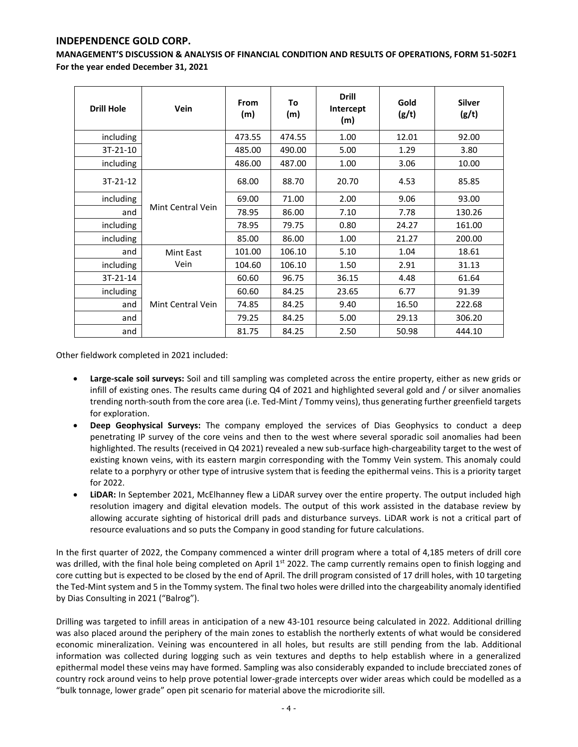**MANAGEMENT'S DISCUSSION & ANALYSIS OF FINANCIAL CONDITION AND RESULTS OF OPERATIONS, FORM 51-502F1 For the year ended December 31, 2021**

| <b>Drill Hole</b> | Vein              | <b>From</b><br>(m) | To<br>(m) | <b>Drill</b><br>Intercept<br>(m) | Gold<br>(g/t) | <b>Silver</b><br>(g/t) |
|-------------------|-------------------|--------------------|-----------|----------------------------------|---------------|------------------------|
| including         |                   | 473.55             | 474.55    | 1.00                             | 12.01         | 92.00                  |
| $3T-21-10$        |                   | 485.00             | 490.00    | 5.00                             | 1.29          | 3.80                   |
| including         |                   | 486.00             | 487.00    | 1.00                             | 3.06          | 10.00                  |
| $3T-21-12$        |                   | 68.00              | 88.70     | 20.70                            | 4.53          | 85.85                  |
| including         |                   | 69.00              | 71.00     | 2.00                             | 9.06          | 93.00                  |
| and               | Mint Central Vein | 78.95              | 86.00     | 7.10                             | 7.78          | 130.26                 |
| including         |                   | 78.95              | 79.75     | 0.80                             | 24.27         | 161.00                 |
| including         |                   | 85.00              | 86.00     | 1.00                             | 21.27         | 200.00                 |
| and               | Mint East         | 101.00             | 106.10    | 5.10                             | 1.04          | 18.61                  |
| including         | Vein              | 104.60             | 106.10    | 1.50                             | 2.91          | 31.13                  |
| 3T-21-14          |                   | 60.60              | 96.75     | 36.15                            | 4.48          | 61.64                  |
| including         |                   | 60.60              | 84.25     | 23.65                            | 6.77          | 91.39                  |
| and               | Mint Central Vein | 74.85              | 84.25     | 9.40                             | 16.50         | 222.68                 |
| and               |                   | 79.25              | 84.25     | 5.00                             | 29.13         | 306.20                 |
| and               |                   | 81.75              | 84.25     | 2.50                             | 50.98         | 444.10                 |

Other fieldwork completed in 2021 included:

- **Large-scale soil surveys:** Soil and till sampling was completed across the entire property, either as new grids or infill of existing ones. The results came during Q4 of 2021 and highlighted several gold and / or silver anomalies trending north-south from the core area (i.e. Ted-Mint / Tommy veins), thus generating further greenfield targets for exploration.
- **Deep Geophysical Surveys:** The company employed the services of Dias Geophysics to conduct a deep penetrating IP survey of the core veins and then to the west where several sporadic soil anomalies had been highlighted. The results (received in Q4 2021) revealed a new sub-surface high-chargeability target to the west of existing known veins, with its eastern margin corresponding with the Tommy Vein system. This anomaly could relate to a porphyry or other type of intrusive system that is feeding the epithermal veins. This is a priority target for 2022.
- **LiDAR:** In September 2021, McElhanney flew a LiDAR survey over the entire property. The output included high resolution imagery and digital elevation models. The output of this work assisted in the database review by allowing accurate sighting of historical drill pads and disturbance surveys. LiDAR work is not a critical part of resource evaluations and so puts the Company in good standing for future calculations.

In the first quarter of 2022, the Company commenced a winter drill program where a total of 4,185 meters of drill core was drilled, with the final hole being completed on April 1<sup>st</sup> 2022. The camp currently remains open to finish logging and core cutting but is expected to be closed by the end of April. The drill program consisted of 17 drill holes, with 10 targeting the Ted-Mint system and 5 in the Tommy system. The final two holes were drilled into the chargeability anomaly identified by Dias Consulting in 2021 ("Balrog").

Drilling was targeted to infill areas in anticipation of a new 43-101 resource being calculated in 2022. Additional drilling was also placed around the periphery of the main zones to establish the northerly extents of what would be considered economic mineralization. Veining was encountered in all holes, but results are still pending from the lab. Additional information was collected during logging such as vein textures and depths to help establish where in a generalized epithermal model these veins may have formed. Sampling was also considerably expanded to include brecciated zones of country rock around veins to help prove potential lower-grade intercepts over wider areas which could be modelled as a "bulk tonnage, lower grade" open pit scenario for material above the microdiorite sill.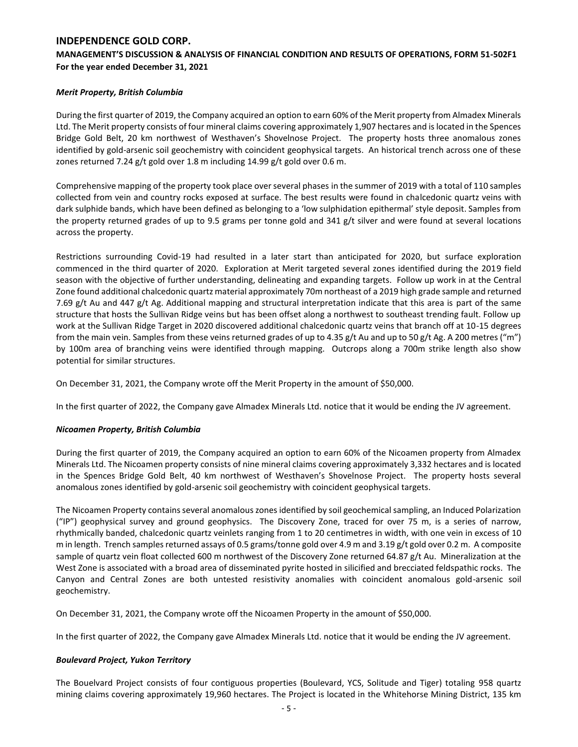## **MANAGEMENT'S DISCUSSION & ANALYSIS OF FINANCIAL CONDITION AND RESULTS OF OPERATIONS, FORM 51-502F1 For the year ended December 31, 2021**

## *Merit Property, British Columbia*

During the first quarter of 2019, the Company acquired an option to earn 60% of the Merit property from Almadex Minerals Ltd. The Merit property consists of four mineral claims covering approximately 1,907 hectares and is located in the Spences Bridge Gold Belt, 20 km northwest of Westhaven's Shovelnose Project. The property hosts three anomalous zones identified by gold-arsenic soil geochemistry with coincident geophysical targets. An historical trench across one of these zones returned 7.24 g/t gold over 1.8 m including 14.99 g/t gold over 0.6 m.

Comprehensive mapping of the property took place over several phases in the summer of 2019 with a total of 110 samples collected from vein and country rocks exposed at surface. The best results were found in chalcedonic quartz veins with dark sulphide bands, which have been defined as belonging to a 'low sulphidation epithermal' style deposit. Samples from the property returned grades of up to 9.5 grams per tonne gold and 341 g/t silver and were found at several locations across the property.

Restrictions surrounding Covid-19 had resulted in a later start than anticipated for 2020, but surface exploration commenced in the third quarter of 2020. Exploration at Merit targeted several zones identified during the 2019 field season with the objective of further understanding, delineating and expanding targets. Follow up work in at the Central Zone found additional chalcedonic quartz material approximately 70m northeast of a 2019 high grade sample and returned 7.69 g/t Au and 447 g/t Ag. Additional mapping and structural interpretation indicate that this area is part of the same structure that hosts the Sullivan Ridge veins but has been offset along a northwest to southeast trending fault. Follow up work at the Sullivan Ridge Target in 2020 discovered additional chalcedonic quartz veins that branch off at 10-15 degrees from the main vein. Samples from these veins returned grades of up to 4.35 g/t Au and up to 50 g/t Ag. A 200 metres ("m") by 100m area of branching veins were identified through mapping. Outcrops along a 700m strike length also show potential for similar structures.

On December 31, 2021, the Company wrote off the Merit Property in the amount of \$50,000.

In the first quarter of 2022, the Company gave Almadex Minerals Ltd. notice that it would be ending the JV agreement.

## *Nicoamen Property, British Columbia*

During the first quarter of 2019, the Company acquired an option to earn 60% of the Nicoamen property from Almadex Minerals Ltd. The Nicoamen property consists of nine mineral claims covering approximately 3,332 hectares and is located in the Spences Bridge Gold Belt, 40 km northwest of Westhaven's Shovelnose Project. The property hosts several anomalous zones identified by gold-arsenic soil geochemistry with coincident geophysical targets.

The Nicoamen Property contains several anomalous zones identified by soil geochemical sampling, an Induced Polarization ("IP") geophysical survey and ground geophysics. The Discovery Zone, traced for over 75 m, is a series of narrow, rhythmically banded, chalcedonic quartz veinlets ranging from 1 to 20 centimetres in width, with one vein in excess of 10 m in length. Trench samples returned assays of 0.5 grams/tonne gold over 4.9 m and 3.19 g/t gold over 0.2 m. A composite sample of quartz vein float collected 600 m northwest of the Discovery Zone returned 64.87 g/t Au. Mineralization at the West Zone is associated with a broad area of disseminated pyrite hosted in silicified and brecciated feldspathic rocks. The Canyon and Central Zones are both untested resistivity anomalies with coincident anomalous gold-arsenic soil geochemistry.

On December 31, 2021, the Company wrote off the Nicoamen Property in the amount of \$50,000.

In the first quarter of 2022, the Company gave Almadex Minerals Ltd. notice that it would be ending the JV agreement.

## *Boulevard Project, Yukon Territory*

The Bouelvard Project consists of four contiguous properties (Boulevard, YCS, Solitude and Tiger) totaling 958 quartz mining claims covering approximately 19,960 hectares. The Project is located in the Whitehorse Mining District, 135 km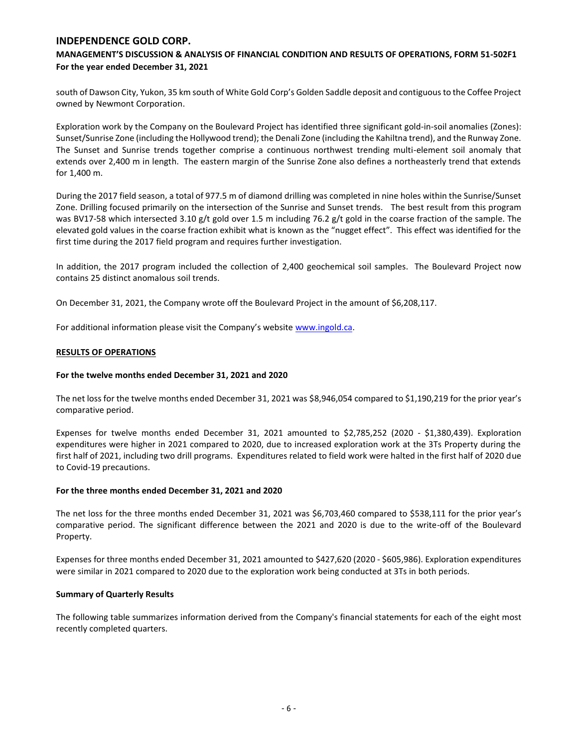## **MANAGEMENT'S DISCUSSION & ANALYSIS OF FINANCIAL CONDITION AND RESULTS OF OPERATIONS, FORM 51-502F1 For the year ended December 31, 2021**

south of Dawson City, Yukon, 35 km south of White Gold Corp's Golden Saddle deposit and contiguous to the Coffee Project owned by Newmont Corporation.

Exploration work by the Company on the Boulevard Project has identified three significant gold-in-soil anomalies (Zones): Sunset/Sunrise Zone (including the Hollywood trend); the Denali Zone (including the Kahiltna trend), and the Runway Zone. The Sunset and Sunrise trends together comprise a continuous northwest trending multi-element soil anomaly that extends over 2,400 m in length. The eastern margin of the Sunrise Zone also defines a northeasterly trend that extends for 1,400 m.

During the 2017 field season, a total of 977.5 m of diamond drilling was completed in nine holes within the Sunrise/Sunset Zone. Drilling focused primarily on the intersection of the Sunrise and Sunset trends. The best result from this program was BV17-58 which intersected 3.10 g/t gold over 1.5 m including 76.2 g/t gold in the coarse fraction of the sample. The elevated gold values in the coarse fraction exhibit what is known as the "nugget effect". This effect was identified for the first time during the 2017 field program and requires further investigation.

In addition, the 2017 program included the collection of 2,400 geochemical soil samples. The Boulevard Project now contains 25 distinct anomalous soil trends.

On December 31, 2021, the Company wrote off the Boulevard Project in the amount of \$6,208,117.

For additional information please visit the Company's website [www.ingold.ca.](http://www.ingold.ca/)

### **RESULTS OF OPERATIONS**

### **For the twelve months ended December 31, 2021 and 2020**

The net loss for the twelve months ended December 31, 2021 was \$8,946,054 compared to \$1,190,219 for the prior year's comparative period.

Expenses for twelve months ended December 31, 2021 amounted to \$2,785,252 (2020 - \$1,380,439). Exploration expenditures were higher in 2021 compared to 2020, due to increased exploration work at the 3Ts Property during the first half of 2021, including two drill programs. Expenditures related to field work were halted in the first half of 2020 due to Covid-19 precautions.

### **For the three months ended December 31, 2021 and 2020**

The net loss for the three months ended December 31, 2021 was \$6,703,460 compared to \$538,111 for the prior year's comparative period. The significant difference between the 2021 and 2020 is due to the write-off of the Boulevard Property.

Expenses for three months ended December 31, 2021 amounted to \$427,620 (2020 - \$605,986). Exploration expenditures were similar in 2021 compared to 2020 due to the exploration work being conducted at 3Ts in both periods.

### **Summary of Quarterly Results**

The following table summarizes information derived from the Company's financial statements for each of the eight most recently completed quarters.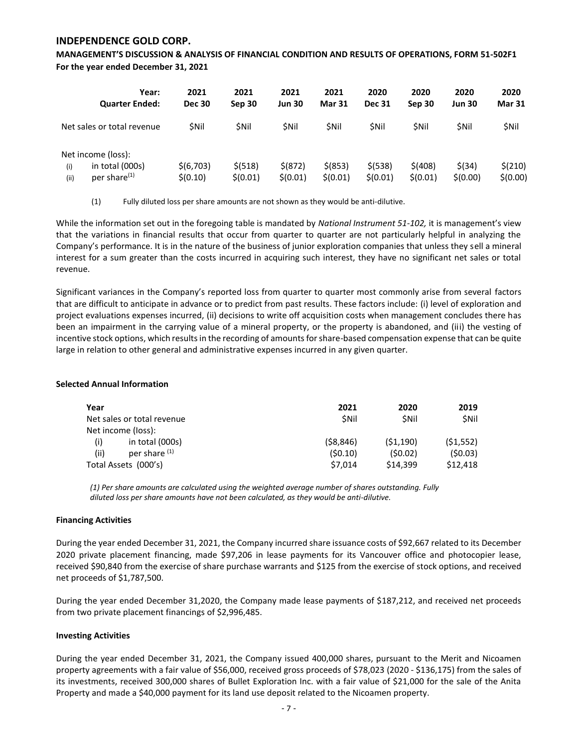**MANAGEMENT'S DISCUSSION & ANALYSIS OF FINANCIAL CONDITION AND RESULTS OF OPERATIONS, FORM 51-502F1 For the year ended December 31, 2021**

| Year:<br><b>Quarter Ended:</b>                                                   | 2021<br><b>Dec 30</b> | 2021<br>Sep 30       | 2021<br><b>Jun 30</b>   | 2021<br><b>Mar 31</b> | 2020<br><b>Dec 31</b> | 2020<br>Sep 30      | 2020<br><b>Jun 30</b> | 2020<br><b>Mar 31</b> |
|----------------------------------------------------------------------------------|-----------------------|----------------------|-------------------------|-----------------------|-----------------------|---------------------|-----------------------|-----------------------|
| Net sales or total revenue                                                       | <b>SNII</b>           | <b>SNil</b>          | <b>SNil</b>             | <b>SNil</b>           | <b>SNil</b>           | <b>SNil</b>         | <b>SNil</b>           | \$Nil                 |
| Net income (loss):<br>in total (000s)<br>(i)<br>per share <sup>(1)</sup><br>(ii) | \$(6,703)<br>\$(0.10) | \$ (518)<br>\$(0.01) | $$^{(872)}$<br>\$(0.01) | \$ (853)<br>\$(0.01)  | \$ (538)<br>\$(0.01)  | \$(408)<br>\$(0.01) | \$(34)<br>\$(0.00)    | \$(210)<br>\$(0.00)   |

(1) Fully diluted loss per share amounts are not shown as they would be anti-dilutive.

While the information set out in the foregoing table is mandated by *National Instrument 51-102,* it is management's view that the variations in financial results that occur from quarter to quarter are not particularly helpful in analyzing the Company's performance. It is in the nature of the business of junior exploration companies that unless they sell a mineral interest for a sum greater than the costs incurred in acquiring such interest, they have no significant net sales or total revenue.

Significant variances in the Company's reported loss from quarter to quarter most commonly arise from several factors that are difficult to anticipate in advance or to predict from past results. These factors include: (i) level of exploration and project evaluations expenses incurred, (ii) decisions to write off acquisition costs when management concludes there has been an impairment in the carrying value of a mineral property, or the property is abandoned, and (iii) the vesting of incentive stock options, which results in the recording of amounts for share-based compensation expense that can be quite large in relation to other general and administrative expenses incurred in any given quarter.

### **Selected Annual Information**

| Year                       | 2021        | 2020        | 2019        |
|----------------------------|-------------|-------------|-------------|
| Net sales or total revenue | <b>SNII</b> | <b>SNil</b> | <b>SNil</b> |
| Net income (loss):         |             |             |             |
| (i)<br>in total (000s)     | (58, 846)   | (51, 190)   | (51, 552)   |
| per share (1)<br>(ii)      | (50.10)     | (50.02)     | (50.03)     |
| Total Assets (000's)       | \$7.014     | \$14.399    | \$12,418    |

*(1) Per share amounts are calculated using the weighted average number of shares outstanding. Fully diluted loss per share amounts have not been calculated, as they would be anti-dilutive.*

### **Financing Activities**

During the year ended December 31, 2021, the Company incurred share issuance costs of \$92,667 related to its December 2020 private placement financing, made \$97,206 in lease payments for its Vancouver office and photocopier lease, received \$90,840 from the exercise of share purchase warrants and \$125 from the exercise of stock options, and received net proceeds of \$1,787,500.

During the year ended December 31,2020, the Company made lease payments of \$187,212, and received net proceeds from two private placement financings of \$2,996,485.

### **Investing Activities**

During the year ended December 31, 2021, the Company issued 400,000 shares, pursuant to the Merit and Nicoamen property agreements with a fair value of \$56,000, received gross proceeds of \$78,023 (2020 - \$136,175) from the sales of its investments, received 300,000 shares of Bullet Exploration Inc. with a fair value of \$21,000 for the sale of the Anita Property and made a \$40,000 payment for its land use deposit related to the Nicoamen property.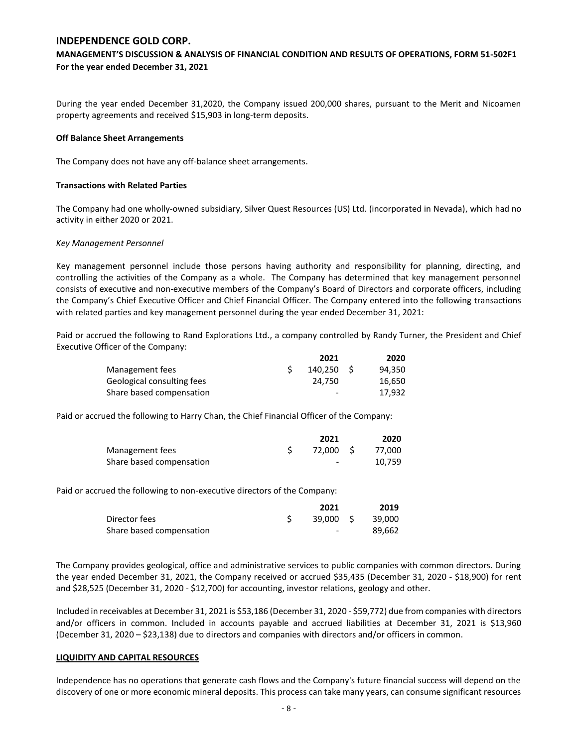## **MANAGEMENT'S DISCUSSION & ANALYSIS OF FINANCIAL CONDITION AND RESULTS OF OPERATIONS, FORM 51-502F1 For the year ended December 31, 2021**

During the year ended December 31,2020, the Company issued 200,000 shares, pursuant to the Merit and Nicoamen property agreements and received \$15,903 in long-term deposits.

#### **Off Balance Sheet Arrangements**

The Company does not have any off-balance sheet arrangements.

### **Transactions with Related Parties**

The Company had one wholly-owned subsidiary, Silver Quest Resources (US) Ltd. (incorporated in Nevada), which had no activity in either 2020 or 2021.

### *Key Management Personnel*

Key management personnel include those persons having authority and responsibility for planning, directing, and controlling the activities of the Company as a whole. The Company has determined that key management personnel consists of executive and non-executive members of the Company's Board of Directors and corporate officers, including the Company's Chief Executive Officer and Chief Financial Officer. The Company entered into the following transactions with related parties and key management personnel during the year ended December 31, 2021:

Paid or accrued the following to Rand Explorations Ltd., a company controlled by Randy Turner, the President and Chief Executive Officer of the Company:

|                            | 2021      | 2020   |
|----------------------------|-----------|--------|
| Management fees            | 140.250 S | 94.350 |
| Geological consulting fees | 24.750    | 16.650 |
| Share based compensation   | -         | 17.932 |

Paid or accrued the following to Harry Chan, the Chief Financial Officer of the Company:

|                          | 2021                     | 2020   |
|--------------------------|--------------------------|--------|
| Management fees          | 72.000 S                 | 77.000 |
| Share based compensation | $\overline{\phantom{0}}$ | 10.759 |

Paid or accrued the following to non-executive directors of the Company:

|                          | 2021      | 2019   |
|--------------------------|-----------|--------|
| Director fees            | 39.000 \$ | 39.000 |
| Share based compensation | $\sim$    | 89.662 |

The Company provides geological, office and administrative services to public companies with common directors. During the year ended December 31, 2021, the Company received or accrued \$35,435 (December 31, 2020 - \$18,900) for rent and \$28,525 (December 31, 2020 - \$12,700) for accounting, investor relations, geology and other.

Included in receivables at December 31, 2021 is \$53,186 (December 31, 2020 - \$59,772) due from companies with directors and/or officers in common. Included in accounts payable and accrued liabilities at December 31, 2021 is \$13,960 (December 31, 2020 – \$23,138) due to directors and companies with directors and/or officers in common.

### **LIQUIDITY AND CAPITAL RESOURCES**

Independence has no operations that generate cash flows and the Company's future financial success will depend on the discovery of one or more economic mineral deposits. This process can take many years, can consume significant resources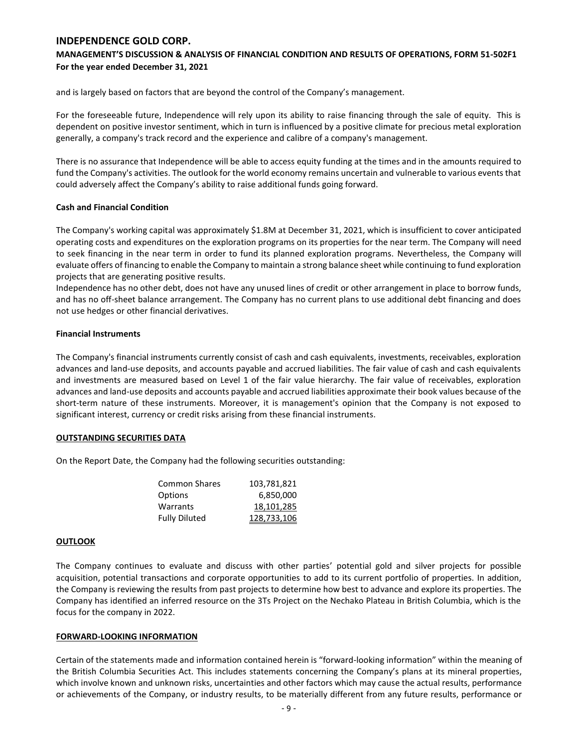## **MANAGEMENT'S DISCUSSION & ANALYSIS OF FINANCIAL CONDITION AND RESULTS OF OPERATIONS, FORM 51-502F1 For the year ended December 31, 2021**

and is largely based on factors that are beyond the control of the Company's management.

For the foreseeable future, Independence will rely upon its ability to raise financing through the sale of equity. This is dependent on positive investor sentiment, which in turn is influenced by a positive climate for precious metal exploration generally, a company's track record and the experience and calibre of a company's management.

There is no assurance that Independence will be able to access equity funding at the times and in the amounts required to fund the Company's activities. The outlook for the world economy remains uncertain and vulnerable to various events that could adversely affect the Company's ability to raise additional funds going forward.

### **Cash and Financial Condition**

The Company's working capital was approximately \$1.8M at December 31, 2021, which is insufficient to cover anticipated operating costs and expenditures on the exploration programs on its properties for the near term. The Company will need to seek financing in the near term in order to fund its planned exploration programs. Nevertheless, the Company will evaluate offers of financing to enable the Company to maintain a strong balance sheet while continuing to fund exploration projects that are generating positive results.

Independence has no other debt, does not have any unused lines of credit or other arrangement in place to borrow funds, and has no off-sheet balance arrangement. The Company has no current plans to use additional debt financing and does not use hedges or other financial derivatives.

## **Financial Instruments**

The Company's financial instruments currently consist of cash and cash equivalents, investments, receivables, exploration advances and land-use deposits, and accounts payable and accrued liabilities. The fair value of cash and cash equivalents and investments are measured based on Level 1 of the fair value hierarchy. The fair value of receivables, exploration advances and land-use deposits and accounts payable and accrued liabilities approximate their book values because of the short-term nature of these instruments. Moreover, it is management's opinion that the Company is not exposed to significant interest, currency or credit risks arising from these financial instruments.

### **OUTSTANDING SECURITIES DATA**

On the Report Date, the Company had the following securities outstanding:

| Common Shares        | 103,781,821 |
|----------------------|-------------|
| Options              | 6,850,000   |
| Warrants             | 18,101,285  |
| <b>Fully Diluted</b> | 128,733,106 |

### **OUTLOOK**

The Company continues to evaluate and discuss with other parties' potential gold and silver projects for possible acquisition, potential transactions and corporate opportunities to add to its current portfolio of properties. In addition, the Company is reviewing the results from past projects to determine how best to advance and explore its properties. The Company has identified an inferred resource on the 3Ts Project on the Nechako Plateau in British Columbia, which is the focus for the company in 2022.

### **FORWARD-LOOKING INFORMATION**

Certain of the statements made and information contained herein is "forward-looking information" within the meaning of the British Columbia Securities Act. This includes statements concerning the Company's plans at its mineral properties, which involve known and unknown risks, uncertainties and other factors which may cause the actual results, performance or achievements of the Company, or industry results, to be materially different from any future results, performance or